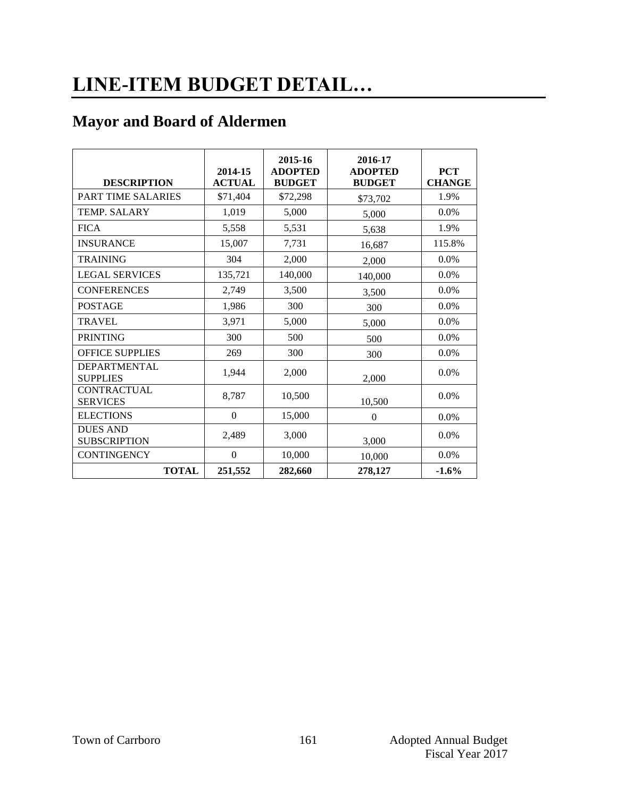# **LINE-ITEM BUDGET DETAIL…**

### **Mayor and Board of Aldermen**

|                                                 | 2014-15                   | 2015-16<br><b>ADOPTED</b> | 2016-17<br><b>ADOPTED</b> | <b>PCT</b><br><b>CHANGE</b> |
|-------------------------------------------------|---------------------------|---------------------------|---------------------------|-----------------------------|
| <b>DESCRIPTION</b><br><b>PART TIME SALARIES</b> | <b>ACTUAL</b><br>\$71,404 | <b>BUDGET</b><br>\$72,298 | <b>BUDGET</b>             | 1.9%                        |
|                                                 |                           |                           | \$73,702                  |                             |
| TEMP. SALARY                                    | 1,019                     | 5,000                     | 5,000                     | $0.0\%$                     |
| <b>FICA</b>                                     | 5,558                     | 5,531                     | 5,638                     | 1.9%                        |
| <b>INSURANCE</b>                                | 15,007                    | 7,731                     | 16,687                    | 115.8%                      |
| <b>TRAINING</b>                                 | 304                       | 2,000                     | 2,000                     | 0.0%                        |
| <b>LEGAL SERVICES</b>                           | 135,721                   | 140,000                   | 140,000                   | $0.0\%$                     |
| <b>CONFERENCES</b>                              | 2,749                     | 3,500                     | 3,500                     | 0.0%                        |
| <b>POSTAGE</b>                                  | 1,986                     | 300                       | 300                       | 0.0%                        |
| <b>TRAVEL</b>                                   | 3,971                     | 5,000                     | 5,000                     | 0.0%                        |
| <b>PRINTING</b>                                 | 300                       | 500                       | 500                       | $0.0\%$                     |
| <b>OFFICE SUPPLIES</b>                          | 269                       | 300                       | 300                       | 0.0%                        |
| DEPARTMENTAL<br><b>SUPPLIES</b>                 | 1,944                     | 2,000                     | 2,000                     | 0.0%                        |
| <b>CONTRACTUAL</b><br><b>SERVICES</b>           | 8,787                     | 10,500                    | 10,500                    | 0.0%                        |
| <b>ELECTIONS</b>                                | $\mathbf{0}$              | 15,000                    | $\Omega$                  | $0.0\%$                     |
| <b>DUES AND</b><br><b>SUBSCRIPTION</b>          | 2,489                     | 3,000                     | 3,000                     | $0.0\%$                     |
| <b>CONTINGENCY</b>                              | $\mathbf{0}$              | 10,000                    | 10,000                    | 0.0%                        |
| <b>TOTAL</b>                                    | 251,552                   | 282,660                   | 278,127                   | $-1.6%$                     |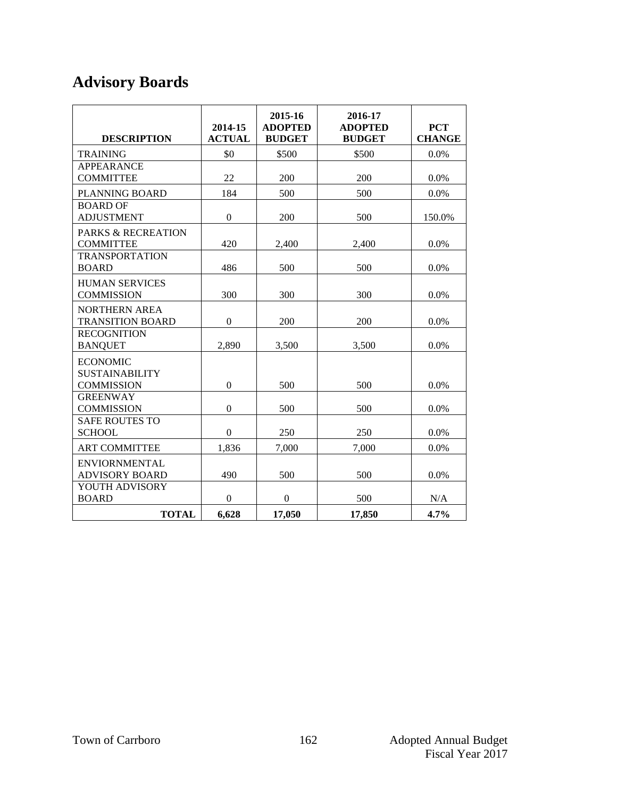## **Advisory Boards**

| <b>DESCRIPTION</b>                                            | 2014-15<br><b>ACTUAL</b> | 2015-16<br><b>ADOPTED</b><br><b>BUDGET</b> | 2016-17<br><b>ADOPTED</b><br><b>BUDGET</b> | <b>PCT</b><br><b>CHANGE</b> |
|---------------------------------------------------------------|--------------------------|--------------------------------------------|--------------------------------------------|-----------------------------|
| <b>TRAINING</b>                                               | \$0                      | \$500                                      | \$500                                      | 0.0%                        |
| <b>APPEARANCE</b>                                             |                          |                                            |                                            |                             |
| <b>COMMITTEE</b>                                              | 22                       | 200                                        | 200                                        | $0.0\%$                     |
| PLANNING BOARD                                                | 184                      | 500                                        | 500                                        | 0.0%                        |
| <b>BOARD OF</b><br><b>ADJUSTMENT</b>                          | $\mathbf{0}$             | 200                                        | 500                                        | 150.0%                      |
| <b>PARKS &amp; RECREATION</b><br><b>COMMITTEE</b>             | 420                      | 2,400                                      | 2,400                                      | $0.0\%$                     |
| <b>TRANSPORTATION</b><br><b>BOARD</b>                         | 486                      | 500                                        | 500                                        | $0.0\%$                     |
| <b>HUMAN SERVICES</b><br><b>COMMISSION</b>                    | 300                      | 300                                        | 300                                        | 0.0%                        |
| <b>NORTHERN AREA</b><br><b>TRANSITION BOARD</b>               | $\Omega$                 | 200                                        | 200                                        | $0.0\%$                     |
| <b>RECOGNITION</b><br><b>BANQUET</b>                          | 2.890                    | 3.500                                      | 3,500                                      | $0.0\%$                     |
| <b>ECONOMIC</b><br><b>SUSTAINABILITY</b><br><b>COMMISSION</b> | $\boldsymbol{0}$         | 500                                        | 500                                        | 0.0%                        |
| <b>GREENWAY</b><br><b>COMMISSION</b>                          | $\overline{0}$           | 500                                        | 500                                        | 0.0%                        |
| <b>SAFE ROUTES TO</b><br><b>SCHOOL</b>                        | $\Omega$                 | 250                                        | 250                                        | $0.0\%$                     |
| <b>ART COMMITTEE</b>                                          | 1,836                    | 7,000                                      | 7,000                                      | 0.0%                        |
| <b>ENVIORNMENTAL</b><br><b>ADVISORY BOARD</b>                 | 490                      | 500                                        | 500                                        | $0.0\%$                     |
| YOUTH ADVISORY                                                |                          |                                            |                                            |                             |
| <b>BOARD</b>                                                  | $\boldsymbol{0}$         | $\boldsymbol{0}$                           | 500                                        | N/A                         |
| <b>TOTAL</b>                                                  | 6,628                    | 17,050                                     | 17,850                                     | 4.7%                        |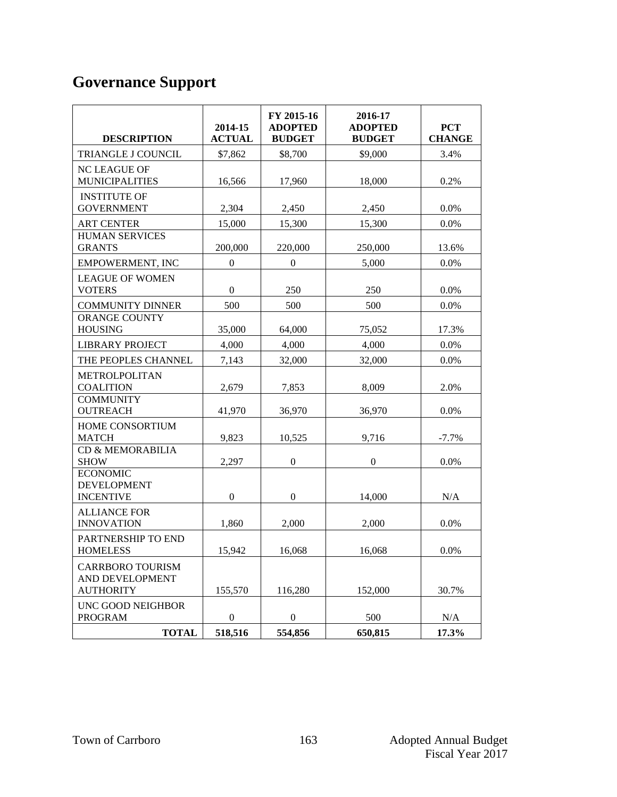## **Governance Support**

| <b>DESCRIPTION</b>                                             | 2014-15<br><b>ACTUAL</b> | FY 2015-16<br><b>ADOPTED</b><br><b>BUDGET</b> | 2016-17<br><b>ADOPTED</b><br><b>BUDGET</b> | <b>PCT</b><br><b>CHANGE</b> |
|----------------------------------------------------------------|--------------------------|-----------------------------------------------|--------------------------------------------|-----------------------------|
| TRIANGLE J COUNCIL                                             | \$7,862                  | \$8,700                                       | \$9,000                                    | 3.4%                        |
| <b>NC LEAGUE OF</b><br><b>MUNICIPALITIES</b>                   | 16,566                   | 17,960                                        | 18,000                                     | 0.2%                        |
| <b>INSTITUTE OF</b><br><b>GOVERNMENT</b>                       | 2,304                    | 2,450                                         | 2,450                                      | $0.0\%$                     |
| <b>ART CENTER</b>                                              | 15,000                   | 15,300                                        | 15,300                                     | 0.0%                        |
| <b>HUMAN SERVICES</b><br><b>GRANTS</b>                         | 200,000                  | 220,000                                       | 250,000                                    | 13.6%                       |
| <b>EMPOWERMENT, INC</b>                                        | $\boldsymbol{0}$         | $\boldsymbol{0}$                              | 5,000                                      | 0.0%                        |
| <b>LEAGUE OF WOMEN</b><br><b>VOTERS</b>                        | $\boldsymbol{0}$         | 250                                           | 250                                        | 0.0%                        |
| <b>COMMUNITY DINNER</b>                                        | 500                      | 500                                           | 500                                        | 0.0%                        |
| <b>ORANGE COUNTY</b><br><b>HOUSING</b>                         | 35,000                   | 64,000                                        | 75,052                                     | 17.3%                       |
| <b>LIBRARY PROJECT</b>                                         | 4,000                    | 4,000                                         | 4,000                                      | 0.0%                        |
| THE PEOPLES CHANNEL                                            | 7,143                    | 32,000                                        | 32,000                                     | 0.0%                        |
| <b>METROLPOLITAN</b><br><b>COALITION</b>                       | 2,679                    | 7,853                                         | 8,009                                      | 2.0%                        |
| <b>COMMUNITY</b><br><b>OUTREACH</b>                            | 41,970                   | 36,970                                        | 36,970                                     | 0.0%                        |
| HOME CONSORTIUM<br><b>MATCH</b>                                | 9,823                    | 10,525                                        | 9,716                                      | $-7.7%$                     |
| CD & MEMORABILIA<br><b>SHOW</b>                                | 2,297                    | $\boldsymbol{0}$                              | $\boldsymbol{0}$                           | 0.0%                        |
| <b>ECONOMIC</b><br><b>DEVELOPMENT</b><br><b>INCENTIVE</b>      | $\mathbf{0}$             | $\boldsymbol{0}$                              | 14,000                                     | N/A                         |
| <b>ALLIANCE FOR</b><br><b>INNOVATION</b>                       | 1,860                    | 2,000                                         | 2,000                                      | 0.0%                        |
| PARTNERSHIP TO END<br><b>HOMELESS</b>                          | 15,942                   | 16,068                                        | 16,068                                     | 0.0%                        |
| <b>CARRBORO TOURISM</b><br>AND DEVELOPMENT<br><b>AUTHORITY</b> | 155,570                  | 116,280                                       | 152,000                                    | 30.7%                       |
| UNC GOOD NEIGHBOR<br><b>PROGRAM</b>                            | $\boldsymbol{0}$         | $\boldsymbol{0}$                              | 500                                        | N/A                         |
| <b>TOTAL</b>                                                   | 518,516                  | 554,856                                       | 650,815                                    | 17.3%                       |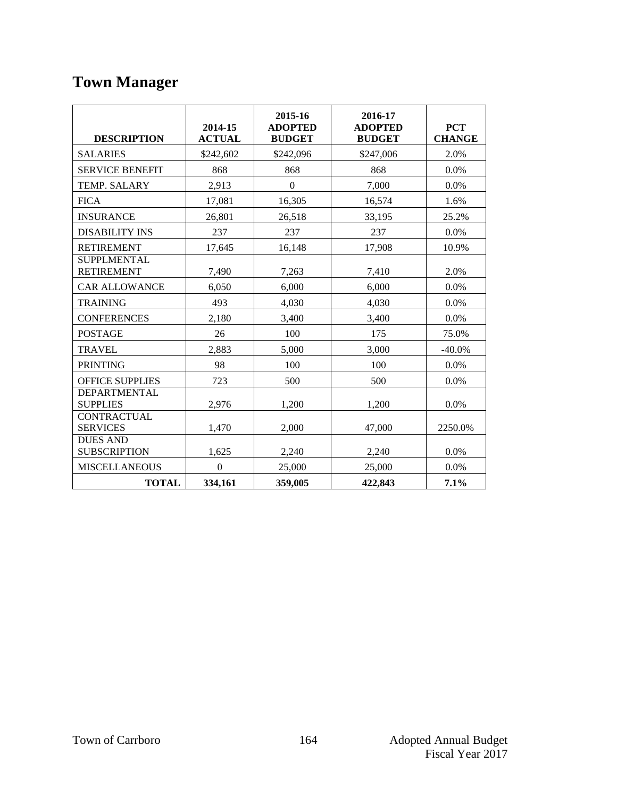## **Town Manager**

| <b>DESCRIPTION</b>                      | 2014-15<br><b>ACTUAL</b> | 2015-16<br><b>ADOPTED</b><br><b>BUDGET</b> | 2016-17<br><b>ADOPTED</b><br><b>BUDGET</b> | <b>PCT</b><br><b>CHANGE</b> |
|-----------------------------------------|--------------------------|--------------------------------------------|--------------------------------------------|-----------------------------|
| <b>SALARIES</b>                         | \$242,602                | \$242,096                                  | \$247,006                                  | 2.0%                        |
| <b>SERVICE BENEFIT</b>                  | 868                      | 868                                        | 868                                        | 0.0%                        |
| TEMP. SALARY                            | 2,913                    | $\Omega$                                   | 7,000                                      | 0.0%                        |
| <b>FICA</b>                             | 17,081                   | 16,305                                     | 16,574                                     | 1.6%                        |
| <b>INSURANCE</b>                        | 26,801                   | 26,518                                     | 33,195                                     | 25.2%                       |
| <b>DISABILITY INS</b>                   | 237                      | 237                                        | 237                                        | $0.0\%$                     |
| <b>RETIREMENT</b>                       | 17,645                   | 16,148                                     | 17,908                                     | 10.9%                       |
| <b>SUPPLMENTAL</b><br><b>RETIREMENT</b> | 7,490                    | 7,263                                      | 7,410                                      | 2.0%                        |
| <b>CAR ALLOWANCE</b>                    | 6,050                    | 6,000                                      | 6,000                                      | $0.0\%$                     |
| <b>TRAINING</b>                         | 493                      | 4,030                                      | 4,030                                      | 0.0%                        |
| <b>CONFERENCES</b>                      | 2,180                    | 3,400                                      | 3,400                                      | 0.0%                        |
| <b>POSTAGE</b>                          | 26                       | 100                                        | 175                                        | 75.0%                       |
| <b>TRAVEL</b>                           | 2,883                    | 5,000                                      | 3,000                                      | $-40.0%$                    |
| <b>PRINTING</b>                         | 98                       | 100                                        | 100                                        | 0.0%                        |
| OFFICE SUPPLIES                         | 723                      | 500                                        | 500                                        | 0.0%                        |
| DEPARTMENTAL<br><b>SUPPLIES</b>         | 2,976                    | 1,200                                      | 1,200                                      | 0.0%                        |
| <b>CONTRACTUAL</b><br><b>SERVICES</b>   | 1,470                    | 2,000                                      | 47,000                                     | 2250.0%                     |
| <b>DUES AND</b><br><b>SUBSCRIPTION</b>  | 1,625                    | 2,240                                      | 2,240                                      | $0.0\%$                     |
| <b>MISCELLANEOUS</b>                    | $\Omega$                 | 25,000                                     | 25,000                                     | $0.0\%$                     |
| <b>TOTAL</b>                            | 334,161                  | 359,005                                    | 422,843                                    | 7.1%                        |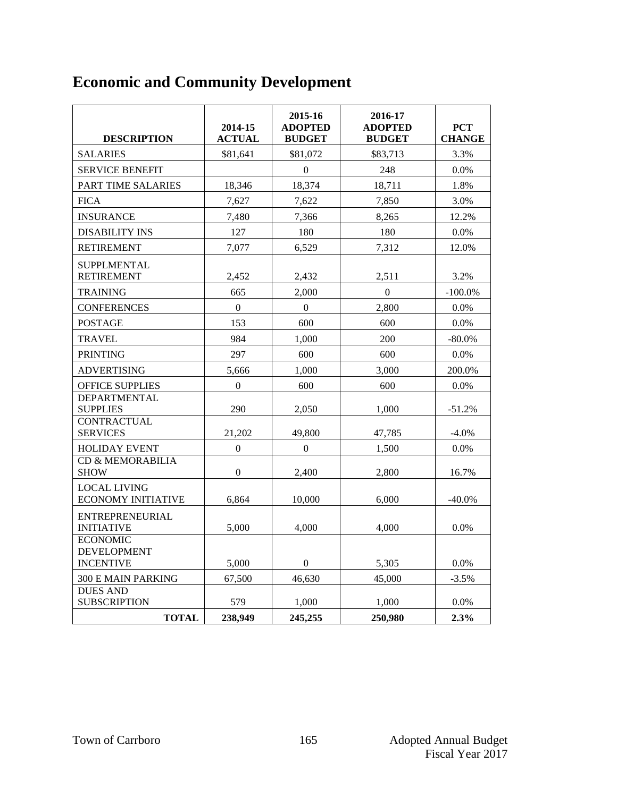## **Economic and Community Development**

| <b>DESCRIPTION</b>                                                 | 2014-15<br><b>ACTUAL</b> | 2015-16<br><b>ADOPTED</b><br><b>BUDGET</b> | 2016-17<br><b>ADOPTED</b><br><b>BUDGET</b> | <b>PCT</b><br><b>CHANGE</b> |
|--------------------------------------------------------------------|--------------------------|--------------------------------------------|--------------------------------------------|-----------------------------|
| <b>SALARIES</b>                                                    | \$81,641                 | \$81,072                                   | \$83,713                                   | 3.3%                        |
| <b>SERVICE BENEFIT</b>                                             |                          | $\mathbf{0}$                               | 248                                        | $0.0\%$                     |
| PART TIME SALARIES                                                 | 18,346                   | 18,374                                     | 18,711                                     | 1.8%                        |
| <b>FICA</b>                                                        | 7,627                    | 7,622                                      | 7,850                                      | 3.0%                        |
| <b>INSURANCE</b>                                                   | 7,480                    | 7,366                                      | 8,265                                      | 12.2%                       |
| <b>DISABILITY INS</b>                                              | 127                      | 180                                        | 180                                        | $0.0\%$                     |
| <b>RETIREMENT</b>                                                  | 7,077                    | 6,529                                      | 7,312                                      | 12.0%                       |
| <b>SUPPLMENTAL</b><br><b>RETIREMENT</b><br><b>TRAINING</b>         | 2,452<br>665             | 2,432<br>2,000                             | 2,511<br>$\overline{0}$                    | 3.2%<br>$-100.0\%$          |
|                                                                    | $\Omega$                 | $\Omega$                                   |                                            | $0.0\%$                     |
| <b>CONFERENCES</b><br><b>POSTAGE</b>                               | 153                      | 600                                        | 2,800<br>600                               | 0.0%                        |
| <b>TRAVEL</b>                                                      | 984                      | 1,000                                      | 200                                        | $-80.0\%$                   |
| <b>PRINTING</b>                                                    | 297                      | 600                                        | 600                                        | 0.0%                        |
| <b>ADVERTISING</b>                                                 | 5,666                    | 1,000                                      | 3,000                                      | 200.0%                      |
| <b>OFFICE SUPPLIES</b>                                             | $\boldsymbol{0}$         | 600                                        | 600                                        | $0.0\%$                     |
| <b>DEPARTMENTAL</b><br><b>SUPPLIES</b><br><b>CONTRACTUAL</b>       | 290                      | 2,050                                      | 1,000                                      | $-51.2%$                    |
| <b>SERVICES</b>                                                    | 21,202                   | 49,800                                     | 47,785                                     | $-4.0\%$                    |
| <b>HOLIDAY EVENT</b><br><b>CD &amp; MEMORABILIA</b><br><b>SHOW</b> | $\Omega$<br>$\theta$     | $\Omega$<br>2.400                          | 1,500<br>2,800                             | 0.0%<br>16.7%               |
| <b>LOCAL LIVING</b><br><b>ECONOMY INITIATIVE</b>                   | 6,864                    | 10,000                                     | 6,000                                      | $-40.0\%$                   |
| ENTREPRENEURIAL<br><b>INITIATIVE</b>                               | 5,000                    | 4,000                                      | 4,000                                      | 0.0%                        |
| <b>ECONOMIC</b><br><b>DEVELOPMENT</b><br><b>INCENTIVE</b>          | 5,000                    | $\boldsymbol{0}$                           | 5,305                                      | 0.0%                        |
| <b>300 E MAIN PARKING</b>                                          | 67,500                   | 46,630                                     | 45,000                                     | $-3.5%$                     |
| <b>DUES AND</b><br><b>SUBSCRIPTION</b><br><b>TOTAL</b>             | 579<br>238,949           | 1,000<br>245,255                           | 1,000<br>250,980                           | 0.0%<br>2.3%                |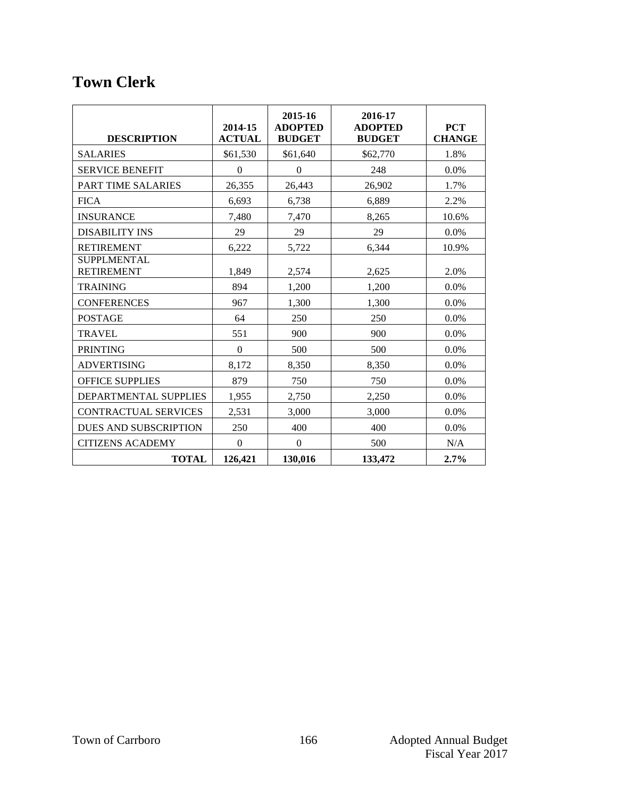### **Town Clerk**

| <b>DESCRIPTION</b>                      | 2014-15<br><b>ACTUAL</b> | 2015-16<br><b>ADOPTED</b><br><b>BUDGET</b> | 2016-17<br><b>ADOPTED</b><br><b>BUDGET</b> | <b>PCT</b><br><b>CHANGE</b> |
|-----------------------------------------|--------------------------|--------------------------------------------|--------------------------------------------|-----------------------------|
| <b>SALARIES</b>                         | \$61,530                 | \$61,640                                   | \$62,770                                   | 1.8%                        |
| <b>SERVICE BENEFIT</b>                  | $\theta$                 | $\Omega$                                   | 248                                        | $0.0\%$                     |
| PART TIME SALARIES                      | 26,355                   | 26,443                                     | 26,902                                     | 1.7%                        |
| <b>FICA</b>                             | 6.693                    | 6,738                                      | 6.889                                      | 2.2%                        |
| <b>INSURANCE</b>                        | 7,480                    | 7,470                                      | 8,265                                      | 10.6%                       |
| <b>DISABILITY INS</b>                   | 29                       | 29                                         | 29                                         | 0.0%                        |
| <b>RETIREMENT</b>                       | 6,222                    | 5,722                                      | 6,344                                      | 10.9%                       |
| <b>SUPPLMENTAL</b><br><b>RETIREMENT</b> | 1,849                    | 2,574                                      | 2,625                                      | 2.0%                        |
| <b>TRAINING</b>                         | 894                      | 1,200                                      | 1,200                                      | $0.0\%$                     |
| <b>CONFERENCES</b>                      | 967                      | 1,300                                      | 1.300                                      | $0.0\%$                     |
| <b>POSTAGE</b>                          | 64                       | 250                                        | 250                                        | 0.0%                        |
| <b>TRAVEL</b>                           | 551                      | 900                                        | 900                                        | $0.0\%$                     |
| <b>PRINTING</b>                         | $\theta$                 | 500                                        | 500                                        | $0.0\%$                     |
| <b>ADVERTISING</b>                      | 8,172                    | 8,350                                      | 8,350                                      | 0.0%                        |
| <b>OFFICE SUPPLIES</b>                  | 879                      | 750                                        | 750                                        | $0.0\%$                     |
| DEPARTMENTAL SUPPLIES                   | 1,955                    | 2,750                                      | 2,250                                      | $0.0\%$                     |
| <b>CONTRACTUAL SERVICES</b>             | 2,531                    | 3,000                                      | 3,000                                      | $0.0\%$                     |
| <b>DUES AND SUBSCRIPTION</b>            | 250                      | 400                                        | 400                                        | $0.0\%$                     |
| <b>CITIZENS ACADEMY</b>                 | $\boldsymbol{0}$         | $\boldsymbol{0}$                           | 500                                        | N/A                         |
| <b>TOTAL</b>                            | 126,421                  | 130,016                                    | 133,472                                    | 2.7%                        |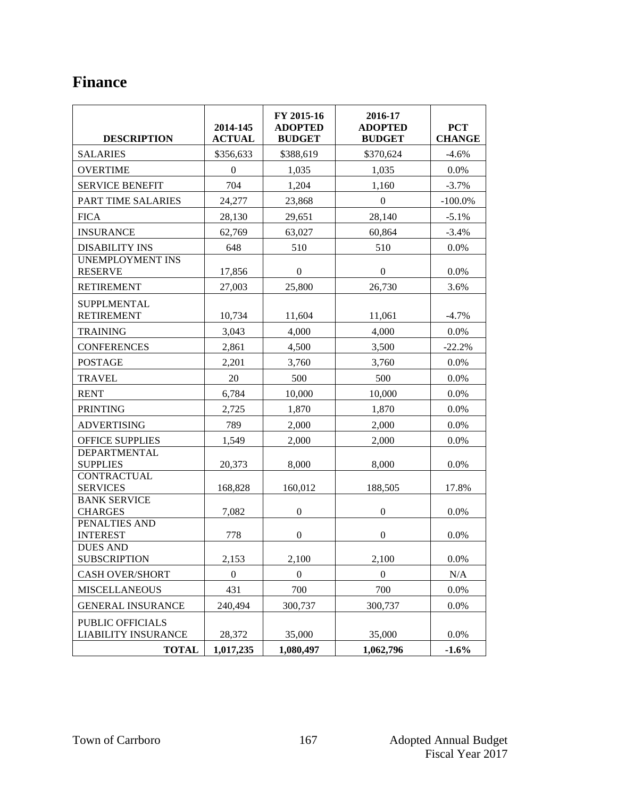### **Finance**

| <b>DESCRIPTION</b>                                             | 2014-145<br><b>ACTUAL</b> | FY 2015-16<br><b>ADOPTED</b><br><b>BUDGET</b> | 2016-17<br><b>ADOPTED</b><br><b>BUDGET</b> | <b>PCT</b><br><b>CHANGE</b> |
|----------------------------------------------------------------|---------------------------|-----------------------------------------------|--------------------------------------------|-----------------------------|
| <b>SALARIES</b>                                                | \$356,633                 | \$388,619                                     | \$370,624                                  | $-4.6%$                     |
| <b>OVERTIME</b>                                                | $\Omega$                  | 1,035                                         | 1,035                                      | 0.0%                        |
| <b>SERVICE BENEFIT</b>                                         | 704                       | 1,204                                         | 1,160                                      | $-3.7%$                     |
| PART TIME SALARIES                                             | 24,277                    | 23,868                                        | $\boldsymbol{0}$                           | $-100.0\%$                  |
| <b>FICA</b>                                                    | 28,130                    | 29,651                                        | 28,140                                     | $-5.1%$                     |
| <b>INSURANCE</b>                                               | 62,769                    | 63,027                                        | 60,864                                     | $-3.4%$                     |
| <b>DISABILITY INS</b>                                          | 648                       | 510                                           | 510                                        | $0.0\%$                     |
| <b>UNEMPLOYMENT INS</b><br><b>RESERVE</b>                      | 17,856                    | $\boldsymbol{0}$                              | $\boldsymbol{0}$                           | 0.0%                        |
| <b>RETIREMENT</b>                                              | 27,003                    | 25,800                                        | 26,730                                     | 3.6%                        |
| <b>SUPPLMENTAL</b><br><b>RETIREMENT</b>                        | 10,734                    | 11,604                                        | 11,061                                     | $-4.7%$                     |
| <b>TRAINING</b>                                                | 3,043                     | 4,000                                         | 4,000                                      | 0.0%                        |
| <b>CONFERENCES</b>                                             | 2,861                     | 4,500                                         | 3,500                                      | $-22.2%$                    |
| <b>POSTAGE</b>                                                 | 2,201                     | 3,760                                         | 3,760                                      | 0.0%                        |
| <b>TRAVEL</b>                                                  | 20                        | 500                                           | 500                                        | 0.0%                        |
| <b>RENT</b>                                                    | 6,784                     | 10,000                                        | 10,000                                     | $0.0\%$                     |
| <b>PRINTING</b>                                                | 2,725                     | 1,870                                         | 1,870                                      | $0.0\%$                     |
| <b>ADVERTISING</b>                                             | 789                       | 2,000                                         | 2,000                                      | $0.0\%$                     |
| <b>OFFICE SUPPLIES</b>                                         | 1,549                     | 2,000                                         | 2,000                                      | $0.0\%$                     |
| DEPARTMENTAL<br><b>SUPPLIES</b>                                | 20,373                    | 8,000                                         | 8,000                                      | 0.0%                        |
| <b>CONTRACTUAL</b><br><b>SERVICES</b>                          | 168,828                   | 160,012                                       | 188,505                                    | 17.8%                       |
| <b>BANK SERVICE</b><br><b>CHARGES</b>                          | 7,082                     | $\mathbf{0}$                                  | $\overline{0}$                             | 0.0%                        |
| PENALTIES AND<br><b>INTEREST</b>                               | 778                       | $\boldsymbol{0}$                              | $\boldsymbol{0}$                           | 0.0%                        |
| <b>DUES AND</b><br><b>SUBSCRIPTION</b>                         | 2,153                     | 2,100                                         | 2,100                                      | 0.0%                        |
| <b>CASH OVER/SHORT</b>                                         | $\mathbf{0}$              | $\mathbf{0}$                                  | $\overline{0}$                             | N/A                         |
| <b>MISCELLANEOUS</b>                                           | 431                       | 700                                           | 700                                        | 0.0%                        |
| <b>GENERAL INSURANCE</b>                                       | 240,494                   | 300,737                                       | 300,737                                    | 0.0%                        |
| PUBLIC OFFICIALS<br><b>LIABILITY INSURANCE</b><br><b>TOTAL</b> | 28,372<br>1,017,235       | 35,000<br>1,080,497                           | 35,000<br>1,062,796                        | 0.0%<br>$-1.6%$             |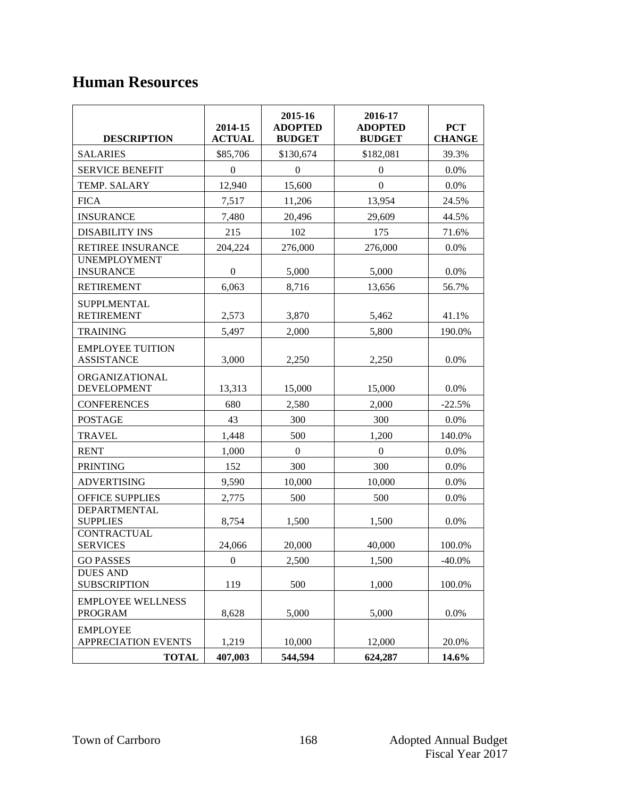### **Human Resources**

| <b>DESCRIPTION</b>                            | 2014-15<br><b>ACTUAL</b> | 2015-16<br><b>ADOPTED</b><br><b>BUDGET</b> | 2016-17<br><b>ADOPTED</b><br><b>BUDGET</b> | <b>PCT</b><br><b>CHANGE</b> |
|-----------------------------------------------|--------------------------|--------------------------------------------|--------------------------------------------|-----------------------------|
| <b>SALARIES</b>                               | \$85,706                 | \$130,674                                  | \$182,081                                  | 39.3%                       |
| <b>SERVICE BENEFIT</b>                        | $\boldsymbol{0}$         | $\mathbf{0}$                               | $\boldsymbol{0}$                           | 0.0%                        |
| TEMP. SALARY                                  | 12,940                   | 15,600                                     | $\mathbf{0}$                               | 0.0%                        |
| <b>FICA</b>                                   | 7,517                    | 11,206                                     | 13,954                                     | 24.5%                       |
| <b>INSURANCE</b>                              | 7,480                    | 20,496                                     | 29,609                                     | 44.5%                       |
| <b>DISABILITY INS</b>                         | 215                      | 102                                        | 175                                        | 71.6%                       |
| <b>RETIREE INSURANCE</b>                      | 204,224                  | 276,000                                    | 276,000                                    | $0.0\%$                     |
| <b>UNEMPLOYMENT</b><br><b>INSURANCE</b>       | $\boldsymbol{0}$         | 5,000                                      | 5,000                                      | 0.0%                        |
| <b>RETIREMENT</b>                             | 6,063                    | 8,716                                      | 13,656                                     | 56.7%                       |
| <b>SUPPLMENTAL</b><br><b>RETIREMENT</b>       | 2,573                    | 3,870                                      | 5,462                                      | 41.1%                       |
| <b>TRAINING</b>                               | 5,497                    | 2.000                                      | 5,800                                      | 190.0%                      |
| <b>EMPLOYEE TUITION</b><br><b>ASSISTANCE</b>  | 3,000                    | 2,250                                      | 2,250                                      | 0.0%                        |
| ORGANIZATIONAL<br><b>DEVELOPMENT</b>          | 13,313                   | 15,000                                     | 15,000                                     | $0.0\%$                     |
| <b>CONFERENCES</b>                            | 680                      | 2,580                                      | 2,000                                      | $-22.5%$                    |
| <b>POSTAGE</b>                                | 43                       | 300                                        | 300                                        | 0.0%                        |
| <b>TRAVEL</b>                                 | 1,448                    | 500                                        | 1,200                                      | 140.0%                      |
| <b>RENT</b>                                   | 1,000                    | $\mathbf{0}$                               | $\mathbf{0}$                               | $0.0\%$                     |
| <b>PRINTING</b>                               | 152                      | 300                                        | 300                                        | $0.0\%$                     |
| <b>ADVERTISING</b>                            | 9,590                    | 10,000                                     | 10,000                                     | $0.0\%$                     |
| <b>OFFICE SUPPLIES</b>                        | 2,775                    | 500                                        | 500                                        | $0.0\%$                     |
| DEPARTMENTAL<br><b>SUPPLIES</b>               | 8,754                    | 1,500                                      | 1,500                                      | $0.0\%$                     |
| <b>CONTRACTUAL</b><br><b>SERVICES</b>         | 24,066                   | 20,000                                     | 40,000                                     | 100.0%                      |
| <b>GO PASSES</b>                              | $\boldsymbol{0}$         | 2,500                                      | 1,500                                      | $-40.0\%$                   |
| <b>DUES AND</b><br><b>SUBSCRIPTION</b>        | 119                      | 500                                        | 1,000                                      | 100.0%                      |
| <b>EMPLOYEE WELLNESS</b><br><b>PROGRAM</b>    | 8,628                    | 5,000                                      | 5,000                                      | 0.0%                        |
| <b>EMPLOYEE</b><br><b>APPRECIATION EVENTS</b> | 1,219                    | 10,000                                     | 12,000                                     | 20.0%                       |
| <b>TOTAL</b>                                  | 407,003                  | 544,594                                    | 624,287                                    | 14.6%                       |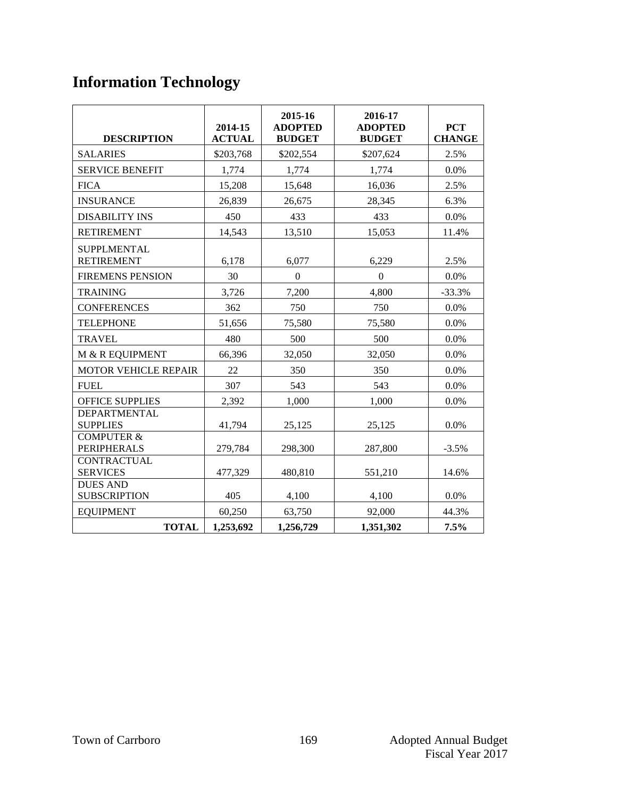## **Information Technology**

| <b>DESCRIPTION</b>                          | 2014-15<br><b>ACTUAL</b> | 2015-16<br><b>ADOPTED</b><br><b>BUDGET</b> | 2016-17<br><b>ADOPTED</b><br><b>BUDGET</b> | <b>PCT</b><br><b>CHANGE</b> |
|---------------------------------------------|--------------------------|--------------------------------------------|--------------------------------------------|-----------------------------|
| <b>SALARIES</b>                             | \$203,768                | \$202,554                                  | \$207,624                                  | 2.5%                        |
| <b>SERVICE BENEFIT</b>                      | 1,774                    | 1,774                                      | 1,774                                      | $0.0\%$                     |
| <b>FICA</b>                                 | 15,208                   | 15,648                                     | 16,036                                     | 2.5%                        |
| <b>INSURANCE</b>                            | 26,839                   | 26,675                                     | 28,345                                     | 6.3%                        |
| <b>DISABILITY INS</b>                       | 450                      | 433                                        | 433                                        | 0.0%                        |
| <b>RETIREMENT</b>                           | 14,543                   | 13,510                                     | 15,053                                     | 11.4%                       |
| <b>SUPPLMENTAL</b><br><b>RETIREMENT</b>     | 6,178                    | 6,077                                      | 6,229                                      | 2.5%                        |
| <b>FIREMENS PENSION</b>                     | 30                       | $\mathbf{0}$                               | $\Omega$                                   | 0.0%                        |
| <b>TRAINING</b>                             | 3,726                    | 7,200                                      | 4,800                                      | $-33.3%$                    |
| <b>CONFERENCES</b>                          | 362                      | 750                                        | 750                                        | $0.0\%$                     |
| <b>TELEPHONE</b>                            | 51,656                   | 75,580                                     | 75,580                                     | $0.0\%$                     |
| <b>TRAVEL</b>                               | 480                      | 500                                        | 500                                        | $0.0\%$                     |
| M & R EQUIPMENT                             | 66,396                   | 32,050                                     | 32,050                                     | $0.0\%$                     |
| <b>MOTOR VEHICLE REPAIR</b>                 | 22                       | 350                                        | 350                                        | $0.0\%$                     |
| <b>FUEL</b>                                 | 307                      | 543                                        | 543                                        | 0.0%                        |
| <b>OFFICE SUPPLIES</b>                      | 2,392                    | 1,000                                      | 1,000                                      | $0.0\%$                     |
| <b>DEPARTMENTAL</b><br><b>SUPPLIES</b>      | 41,794                   | 25,125                                     | 25,125                                     | $0.0\%$                     |
| <b>COMPUTER &amp;</b><br><b>PERIPHERALS</b> | 279,784                  | 298,300                                    | 287,800                                    | $-3.5%$                     |
| <b>CONTRACTUAL</b><br><b>SERVICES</b>       | 477,329                  | 480,810                                    | 551,210                                    | 14.6%                       |
| <b>DUES AND</b><br><b>SUBSCRIPTION</b>      | 405                      | 4,100                                      | 4,100                                      | 0.0%                        |
| <b>EQUIPMENT</b>                            | 60,250                   | 63,750                                     | 92,000                                     | 44.3%                       |
| <b>TOTAL</b>                                | 1,253,692                | 1,256,729                                  | 1,351,302                                  | $7.5\%$                     |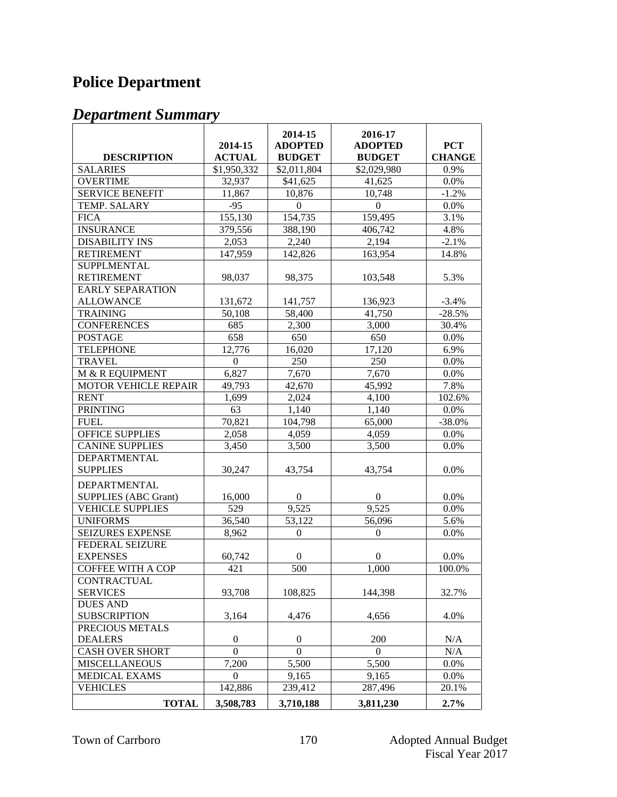## **Police Department**

| <b>DESCRIPTION</b>          | 2014-15<br><b>ACTUAL</b> | 2014-15<br><b>ADOPTED</b><br><b>BUDGET</b> | 2016-17<br><b>ADOPTED</b><br><b>BUDGET</b> | <b>PCT</b><br><b>CHANGE</b> |
|-----------------------------|--------------------------|--------------------------------------------|--------------------------------------------|-----------------------------|
| <b>SALARIES</b>             | \$1,950,332              | \$2,011,804                                | \$2,029,980                                | 0.9%                        |
| <b>OVERTIME</b>             | 32,937                   | \$41,625                                   | 41,625                                     | 0.0%                        |
| <b>SERVICE BENEFIT</b>      | 11,867                   | 10,876                                     | 10,748                                     | $-1.2%$                     |
| <b>TEMP. SALARY</b>         | $-95$                    | $\mathbf{0}$                               | $\Omega$                                   | 0.0%                        |
| <b>FICA</b>                 | 155,130                  | 154,735                                    | 159,495                                    | 3.1%                        |
| <b>INSURANCE</b>            | 379,556                  | 388,190                                    | 406,742                                    | 4.8%                        |
| <b>DISABILITY INS</b>       | 2,053                    | 2,240                                      | 2,194                                      | $-2.1%$                     |
| <b>RETIREMENT</b>           | 147,959                  | 142,826                                    | 163,954                                    | 14.8%                       |
| <b>SUPPLMENTAL</b>          |                          |                                            |                                            |                             |
| <b>RETIREMENT</b>           | 98,037                   | 98,375                                     | 103,548                                    | 5.3%                        |
| <b>EARLY SEPARATION</b>     |                          |                                            |                                            |                             |
| <b>ALLOWANCE</b>            | 131,672                  | 141,757                                    | 136,923                                    | $-3.4%$                     |
| <b>TRAINING</b>             | 50,108                   | 58,400                                     | 41,750                                     | $-28.5%$                    |
| <b>CONFERENCES</b>          | 685                      | 2,300                                      | 3,000                                      | 30.4%                       |
| <b>POSTAGE</b>              | 658                      | 650                                        | 650                                        | 0.0%                        |
| <b>TELEPHONE</b>            | 12,776                   | 16,020                                     | 17,120                                     | 6.9%                        |
| <b>TRAVEL</b>               | $\boldsymbol{0}$         | 250                                        | 250                                        | 0.0%                        |
| M & R EQUIPMENT             | 6,827                    | 7,670                                      | 7,670                                      | 0.0%                        |
| <b>MOTOR VEHICLE REPAIR</b> | 49,793                   | 42,670                                     | 45,992                                     | 7.8%                        |
| <b>RENT</b>                 | 1,699                    | 2,024                                      | 4,100                                      | 102.6%                      |
| <b>PRINTING</b>             | 63                       | 1,140                                      | 1,140                                      | 0.0%                        |
| <b>FUEL</b>                 | 70,821                   | 104,798                                    | 65,000                                     | $-38.0%$                    |
| <b>OFFICE SUPPLIES</b>      | 2,058                    | 4,059                                      | 4,059                                      | 0.0%                        |
| <b>CANINE SUPPLIES</b>      | 3,450                    | 3,500                                      | 3,500                                      | 0.0%                        |
| DEPARTMENTAL                |                          |                                            |                                            |                             |
| <b>SUPPLIES</b>             | 30,247                   | 43,754                                     | 43,754                                     | 0.0%                        |
| DEPARTMENTAL                |                          |                                            |                                            |                             |
| <b>SUPPLIES (ABC Grant)</b> | 16,000                   | $\boldsymbol{0}$                           | $\boldsymbol{0}$                           | 0.0%                        |
| <b>VEHICLE SUPPLIES</b>     | 529                      | 9,525                                      | 9,525                                      | 0.0%                        |
| <b>UNIFORMS</b>             | 36,540                   | 53,122                                     | 56,096                                     | 5.6%                        |
| <b>SEIZURES EXPENSE</b>     | 8,962                    | $\boldsymbol{0}$                           | $\boldsymbol{0}$                           | 0.0%                        |
| FEDERAL SEIZURE             |                          |                                            |                                            |                             |
| <b>EXPENSES</b>             | 60,742                   | $\boldsymbol{0}$                           | $\boldsymbol{0}$                           | 0.0%                        |
| <b>COFFEE WITH A COP</b>    | 421                      | 500                                        | 1,000                                      | 100.0%                      |
| CONTRACTUAL                 |                          |                                            |                                            |                             |
| <b>SERVICES</b>             | 93,708                   | 108,825                                    | 144,398                                    | 32.7%                       |
| <b>DUES AND</b>             |                          |                                            |                                            |                             |
| <b>SUBSCRIPTION</b>         | 3,164                    | 4,476                                      | 4,656                                      | 4.0%                        |
| PRECIOUS METALS             |                          |                                            |                                            |                             |
| <b>DEALERS</b>              | $\overline{0}$           | $\boldsymbol{0}$                           | 200                                        | N/A                         |
| <b>CASH OVER SHORT</b>      | $\Omega$                 | $\Omega$                                   | $\Omega$                                   | N/A                         |
| <b>MISCELLANEOUS</b>        | 7,200                    | 5,500                                      | 5,500                                      | 0.0%                        |
| <b>MEDICAL EXAMS</b>        | $\Omega$                 | 9,165                                      | 9,165                                      | 0.0%                        |
| <b>VEHICLES</b>             | 142,886                  | 239,412                                    | 287,496                                    | 20.1%                       |
| <b>TOTAL</b>                | 3,508,783                | 3,710,188                                  | 3,811,230                                  | 2.7%                        |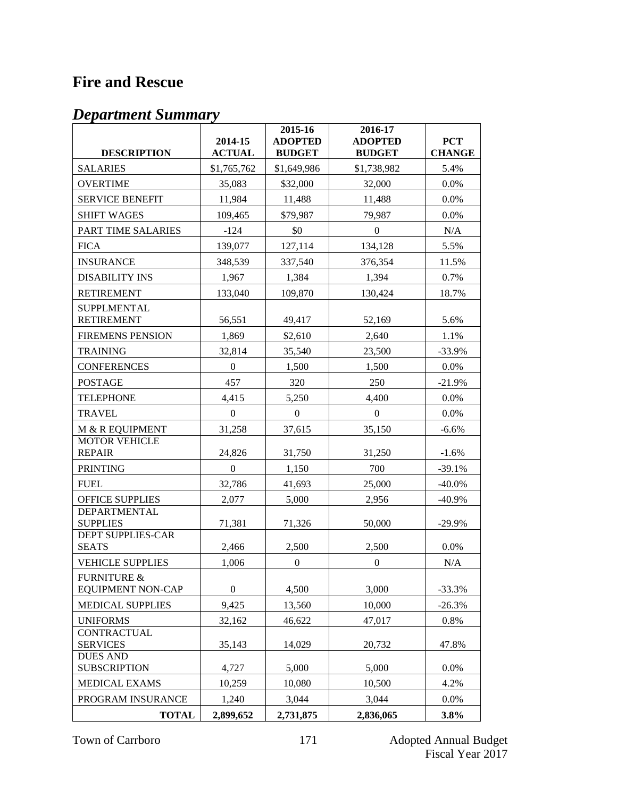## **Fire and Rescue**

|                                          | 2014-15          | 2015-16<br><b>ADOPTED</b> | 2016-17                         | <b>PCT</b>    |
|------------------------------------------|------------------|---------------------------|---------------------------------|---------------|
| <b>DESCRIPTION</b>                       | <b>ACTUAL</b>    | <b>BUDGET</b>             | <b>ADOPTED</b><br><b>BUDGET</b> | <b>CHANGE</b> |
| <b>SALARIES</b>                          | \$1,765,762      | \$1,649,986               | \$1,738,982                     | 5.4%          |
| <b>OVERTIME</b>                          | 35,083           | \$32,000                  | 32,000                          | 0.0%          |
| <b>SERVICE BENEFIT</b>                   | 11,984           | 11,488                    | 11,488                          | 0.0%          |
| <b>SHIFT WAGES</b>                       | 109,465          | \$79,987                  | 79,987                          | 0.0%          |
| PART TIME SALARIES                       | $-124$           | \$0                       | $\boldsymbol{0}$                | N/A           |
| <b>FICA</b>                              | 139,077          | 127,114                   | 134,128                         | 5.5%          |
| <b>INSURANCE</b>                         | 348,539          | 337,540                   | 376,354                         | 11.5%         |
| <b>DISABILITY INS</b>                    | 1,967            | 1,384                     | 1,394                           | 0.7%          |
| <b>RETIREMENT</b>                        | 133,040          | 109,870                   | 130,424                         | 18.7%         |
| <b>SUPPLMENTAL</b><br><b>RETIREMENT</b>  | 56,551           | 49,417                    | 52,169                          | 5.6%          |
| <b>FIREMENS PENSION</b>                  | 1,869            | \$2,610                   | 2,640                           | 1.1%          |
| <b>TRAINING</b>                          | 32,814           | 35,540                    | 23,500                          | $-33.9%$      |
| <b>CONFERENCES</b>                       | $\boldsymbol{0}$ | 1,500                     | 1,500                           | 0.0%          |
| <b>POSTAGE</b>                           | 457              | 320                       | 250                             | $-21.9%$      |
| <b>TELEPHONE</b>                         | 4,415            | 5,250                     | 4,400                           | 0.0%          |
| <b>TRAVEL</b>                            | $\mathbf{0}$     | $\overline{0}$            | $\boldsymbol{0}$                | 0.0%          |
| M & R EQUIPMENT                          | 31,258           | 37,615                    | 35,150                          | $-6.6%$       |
| <b>MOTOR VEHICLE</b>                     |                  |                           |                                 |               |
| <b>REPAIR</b>                            | 24,826           | 31,750                    | 31,250                          | $-1.6%$       |
| <b>PRINTING</b>                          | $\boldsymbol{0}$ | 1,150                     | 700                             | $-39.1%$      |
| <b>FUEL</b>                              | 32,786           | 41,693                    | 25,000                          | $-40.0\%$     |
| <b>OFFICE SUPPLIES</b>                   | 2,077            | 5,000                     | 2,956                           | $-40.9%$      |
| <b>DEPARTMENTAL</b><br><b>SUPPLIES</b>   | 71,381           | 71,326                    | 50,000                          | $-29.9%$      |
| <b>DEPT SUPPLIES-CAR</b><br><b>SEATS</b> | 2,466            | 2,500                     | 2,500                           | 0.0%          |
| <b>VEHICLE SUPPLIES</b>                  | 1,006            | $\boldsymbol{0}$          | $\mathbf{0}$                    | N/A           |
| <b>FURNITURE &amp;</b>                   |                  |                           |                                 |               |
| <b>EQUIPMENT NON-CAP</b>                 | $\boldsymbol{0}$ | 4,500                     | 3,000                           | $-33.3%$      |
| <b>MEDICAL SUPPLIES</b>                  | 9,425            | 13,560                    | 10,000                          | $-26.3%$      |
| <b>UNIFORMS</b><br><b>CONTRACTUAL</b>    | 32,162           | 46,622                    | 47,017                          | 0.8%          |
| <b>SERVICES</b>                          | 35,143           | 14,029                    | 20,732                          | 47.8%         |
| <b>DUES AND</b><br><b>SUBSCRIPTION</b>   | 4,727            | 5,000                     | 5,000                           | 0.0%          |
| <b>MEDICAL EXAMS</b>                     | 10,259           | 10,080                    | 10,500                          | 4.2%          |
| PROGRAM INSURANCE                        | 1,240            | 3,044                     | 3,044                           | 0.0%          |
| <b>TOTAL</b>                             | 2,899,652        | 2,731,875                 | 2,836,065                       | 3.8%          |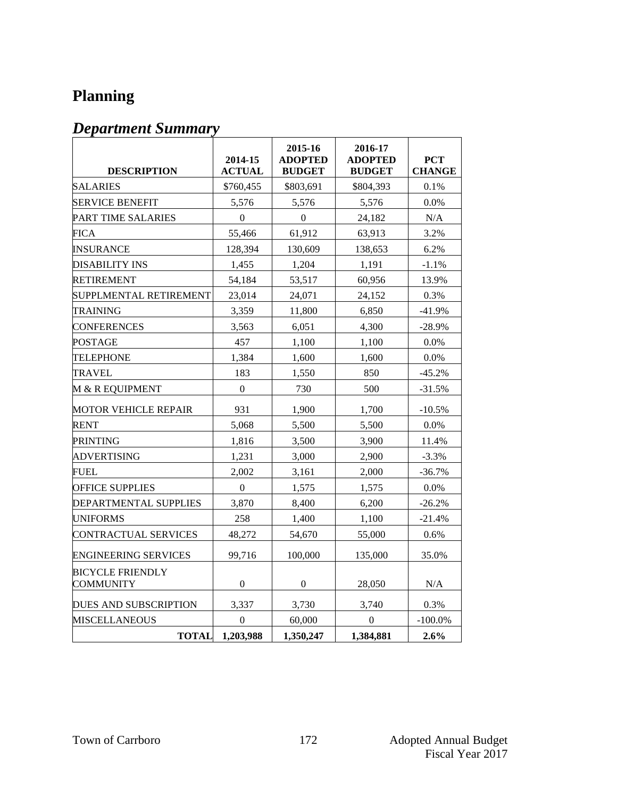## **Planning**

| <b>DESCRIPTION</b>                          | 2014-15<br><b>ACTUAL</b> | 2015-16<br><b>ADOPTED</b><br><b>BUDGET</b> | 2016-17<br><b>ADOPTED</b><br><b>BUDGET</b> | <b>PCT</b><br><b>CHANGE</b> |
|---------------------------------------------|--------------------------|--------------------------------------------|--------------------------------------------|-----------------------------|
| <b>SALARIES</b>                             | \$760,455                | \$803,691                                  | \$804,393                                  | 0.1%                        |
| <b>SERVICE BENEFIT</b>                      | 5,576                    | 5,576                                      | 5,576                                      | 0.0%                        |
| PART TIME SALARIES                          | $\theta$                 | $\theta$                                   | 24,182                                     | N/A                         |
| FICA                                        | 55,466                   | 61,912                                     | 63,913                                     | 3.2%                        |
| <b>INSURANCE</b>                            | 128,394                  | 130,609                                    | 138,653                                    | 6.2%                        |
| DISABILITY INS                              | 1,455                    | 1,204                                      | 1,191                                      | $-1.1%$                     |
| <b>RETIREMENT</b>                           | 54,184                   | 53,517                                     | 60,956                                     | 13.9%                       |
| SUPPLMENTAL RETIREMENT                      | 23,014                   | 24,071                                     | 24,152                                     | 0.3%                        |
| TRAINING                                    | 3,359                    | 11,800                                     | 6,850                                      | $-41.9%$                    |
| <b>CONFERENCES</b>                          | 3,563                    | 6,051                                      | 4,300                                      | $-28.9%$                    |
| POSTAGE                                     | 457                      | 1,100                                      | 1,100                                      | $0.0\%$                     |
| <b>TELEPHONE</b>                            | 1,384                    | 1,600                                      | 1,600                                      | 0.0%                        |
| TRAVEL                                      | 183                      | 1,550                                      | 850                                        | $-45.2%$                    |
| M & R EQUIPMENT                             | $\boldsymbol{0}$         | 730                                        | 500                                        | $-31.5%$                    |
| MOTOR VEHICLE REPAIR                        | 931                      | 1,900                                      | 1,700                                      | $-10.5%$                    |
| <b>RENT</b>                                 | 5,068                    | 5,500                                      | 5,500                                      | $0.0\%$                     |
| PRINTING                                    | 1,816                    | 3,500                                      | 3,900                                      | 11.4%                       |
| <b>ADVERTISING</b>                          | 1,231                    | 3,000                                      | 2,900                                      | $-3.3%$                     |
| FUEL                                        | 2,002                    | 3,161                                      | 2,000                                      | $-36.7%$                    |
| <b>OFFICE SUPPLIES</b>                      | $\overline{0}$           | 1,575                                      | 1,575                                      | 0.0%                        |
| DEPARTMENTAL SUPPLIES                       | 3,870                    | 8,400                                      | 6,200                                      | $-26.2%$                    |
| <b>UNIFORMS</b>                             | 258                      | 1,400                                      | 1,100                                      | $-21.4%$                    |
| <b>CONTRACTUAL SERVICES</b>                 | 48,272                   | 54,670                                     | 55,000                                     | 0.6%                        |
| ENGINEERING SERVICES                        | 99,716                   | 100,000                                    | 135,000                                    | 35.0%                       |
| <b>BICYCLE FRIENDLY</b><br><b>COMMUNITY</b> | $\boldsymbol{0}$         | $\boldsymbol{0}$                           | 28,050                                     | N/A                         |
| DUES AND SUBSCRIPTION                       | 3,337                    | 3,730                                      | 3,740                                      | 0.3%                        |
| <b>MISCELLANEOUS</b>                        | $\theta$                 | 60,000                                     | $\theta$                                   | $-100.0\%$                  |
| <b>TOTAL</b>                                | 1,203,988                | 1,350,247                                  | 1,384,881                                  | 2.6%                        |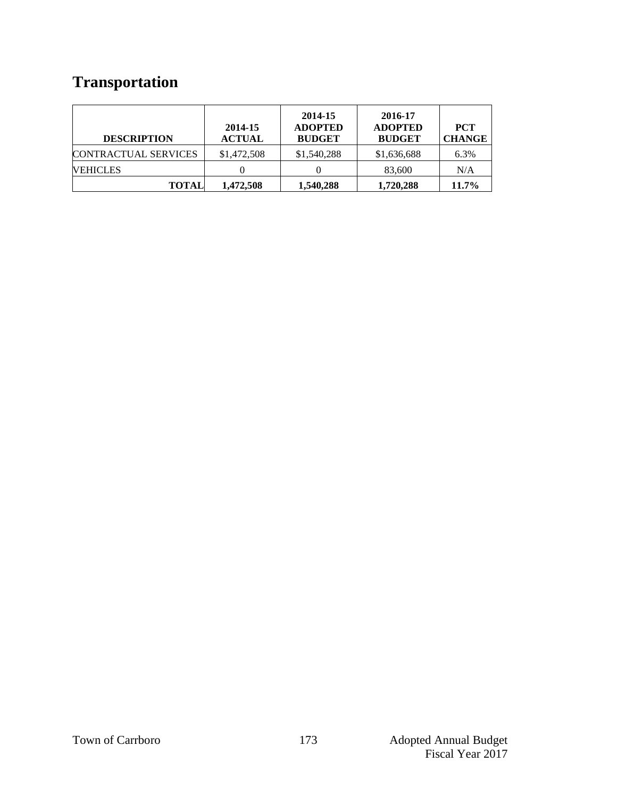## **Transportation**

| <b>DESCRIPTION</b>          | 2014-15<br><b>ACTUAL</b> | 2014-15<br><b>ADOPTED</b><br><b>BUDGET</b> | 2016-17<br><b>ADOPTED</b><br><b>BUDGET</b> | <b>PCT</b><br><b>CHANGE</b> |
|-----------------------------|--------------------------|--------------------------------------------|--------------------------------------------|-----------------------------|
| <b>CONTRACTUAL SERVICES</b> | \$1,472,508              | \$1,540,288                                | \$1,636,688                                | 6.3%                        |
| <b>VEHICLES</b>             |                          |                                            | 83,600                                     | N/A                         |
| <b>TOTAL</b>                | 1,472,508                | 1,540,288                                  | 1,720,288                                  | 11.7%                       |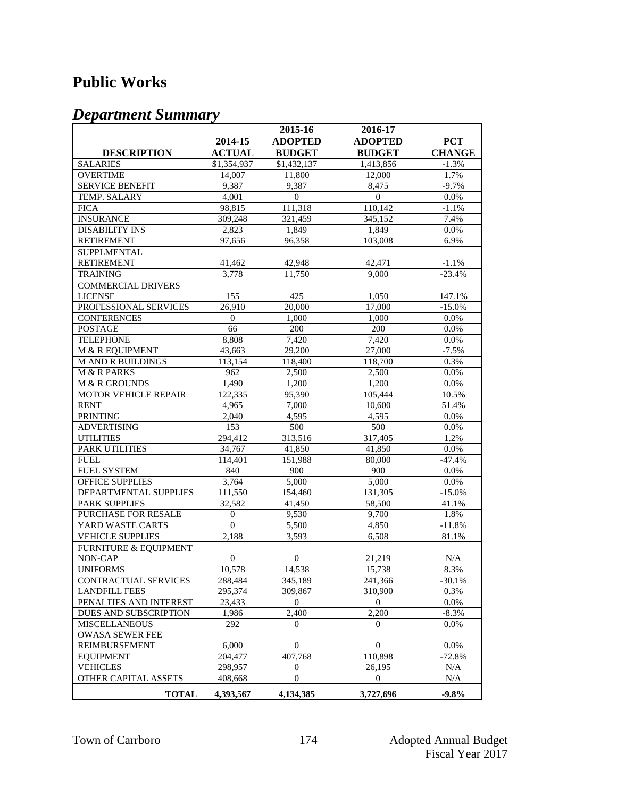### **Public Works**

|                                  |                | 2015-16          | 2016-17        |                   |
|----------------------------------|----------------|------------------|----------------|-------------------|
|                                  | 2014-15        | <b>ADOPTED</b>   | <b>ADOPTED</b> | <b>PCT</b>        |
| <b>DESCRIPTION</b>               | <b>ACTUAL</b>  | <b>BUDGET</b>    | <b>BUDGET</b>  | <b>CHANGE</b>     |
| <b>SALARIES</b>                  | \$1,354,937    | \$1,432,137      | 1,413,856      | $-1.3%$           |
| <b>OVERTIME</b>                  | 14,007         | 11,800           | 12,000         | 1.7%              |
| <b>SERVICE BENEFIT</b>           | 9,387          | 9.387            | 8,475          | $-9.7%$           |
| TEMP. SALARY                     | 4,001          | $\boldsymbol{0}$ | $\mathbf{0}$   | 0.0%              |
| <b>FICA</b>                      | 98,815         | 111,318          | 110,142        | $-1.1%$           |
| <b>INSURANCE</b>                 | 309,248        | 321,459          | 345,152        | 7.4%              |
| <b>DISABILITY INS</b>            | 2,823          | 1,849            | 1,849          | 0.0%              |
| <b>RETIREMENT</b>                | 97,656         | 96,358           | 103,008        | 6.9%              |
|                                  |                |                  |                |                   |
| SUPPLMENTAL                      |                |                  |                |                   |
| <b>RETIREMENT</b>                | 41,462         | 42,948           | 42,471         | $\textbf{-1.1}\%$ |
| <b>TRAINING</b>                  | 3,778          | 11,750           | 9,000          | $-23.4%$          |
| <b>COMMERCIAL DRIVERS</b>        |                |                  |                |                   |
| <b>LICENSE</b>                   | 155            | 425              | 1,050          | 147.1%            |
| PROFESSIONAL SERVICES            | 26,910         | 20,000           | 17,000         | $-15.0%$          |
| <b>CONFERENCES</b>               | $\mathbf{0}$   | 1.000            | 1,000          | 0.0%              |
| <b>POSTAGE</b>                   | 66             | 200              | 200            | 0.0%              |
| <b>TELEPHONE</b>                 | 8,808          | 7,420            | 7,420          | 0.0%              |
| M & R EQUIPMENT                  | 43,663         | 29,200           | 27,000         | $-7.5%$           |
| <b>M AND R BUILDINGS</b>         | 113,154        | 118,400          | 118,700        | 0.3%              |
| M & R PARKS                      | 962            | 2,500            | 2,500          | 0.0%              |
| M & R GROUNDS                    | 1.490          | 1,200            | 1,200          | 0.0%              |
| <b>MOTOR VEHICLE REPAIR</b>      | 122,335        | 95,390           | 105,444        | 10.5%             |
| <b>RENT</b>                      | 4,965          | 7,000            | 10,600         | 51.4%             |
| <b>PRINTING</b>                  | 2,040          | 4,595            | 4,595          | 0.0%              |
| <b>ADVERTISING</b>               | 153            | 500              | 500            | 0.0%              |
| <b>UTILITIES</b>                 | 294.412        | 313,516          | 317,405        | 1.2%              |
| <b>PARK UTILITIES</b>            | 34,767         | 41,850           | 41,850         | 0.0%              |
| <b>FUEL</b>                      | 114,401        | 151,988          | 80,000         | $-47.4%$          |
| FUEL SYSTEM                      | 840            | 900              | 900            | 0.0%              |
| OFFICE SUPPLIES                  | 3,764          | 5,000            | 5,000          | 0.0%              |
| DEPARTMENTAL SUPPLIES            | 111,550        | 154,460          | 131,305        | $-15.0%$          |
| <b>PARK SUPPLIES</b>             | 32,582         | 41,450           | 58,500         | 41.1%             |
| PURCHASE FOR RESALE              | $\mathbf{0}$   | 9,530            | 9,700          | 1.8%              |
| YARD WASTE CARTS                 | $\mathbf{0}$   | 5,500            | 4,850          | $-11.8%$          |
| <b>VEHICLE SUPPLIES</b>          | 2,188          | 3,593            | 6,508          | 81.1%             |
| <b>FURNITURE &amp; EQUIPMENT</b> |                |                  |                |                   |
| NON-CAP                          | $\overline{0}$ | $\overline{0}$   | 21,219         | N/A               |
| <b>UNIFORMS</b>                  | 10,578         | 14,538           | 15,738         | 8.3%              |
| <b>CONTRACTUAL SERVICES</b>      | 288,484        | 345,189          | 241,366        | $-30.1%$          |
| <b>LANDFILL FEES</b>             | 295,374        | 309,867          | 310,900        | 0.3%              |
| PENALTIES AND INTEREST           | 23,433         | $\overline{0}$   | $\overline{0}$ | 0.0%              |
| DUES AND SUBSCRIPTION            | 1.986          | 2,400            | 2,200          | $-8.3%$           |
| <b>MISCELLANEOUS</b>             | 292            | $\overline{0}$   | $\Omega$       | 0.0%              |
| <b>OWASA SEWER FEE</b>           |                |                  |                |                   |
| REIMBURSEMENT                    | 6,000          | $\overline{0}$   | $\mathbf{0}$   | 0.0%              |
| <b>EQUIPMENT</b>                 | 204,477        | 407,768          | 110,898        | $-72.8%$          |
| <b>VEHICLES</b>                  | 298,957        | $\overline{0}$   | 26,195         | $\rm N/A$         |
| OTHER CAPITAL ASSETS             | 408,668        | $\Omega$         | $\Omega$       | N/A               |
| <b>TOTAL</b>                     | 4,393,567      | 4,134,385        | 3,727,696      | $-9.8%$           |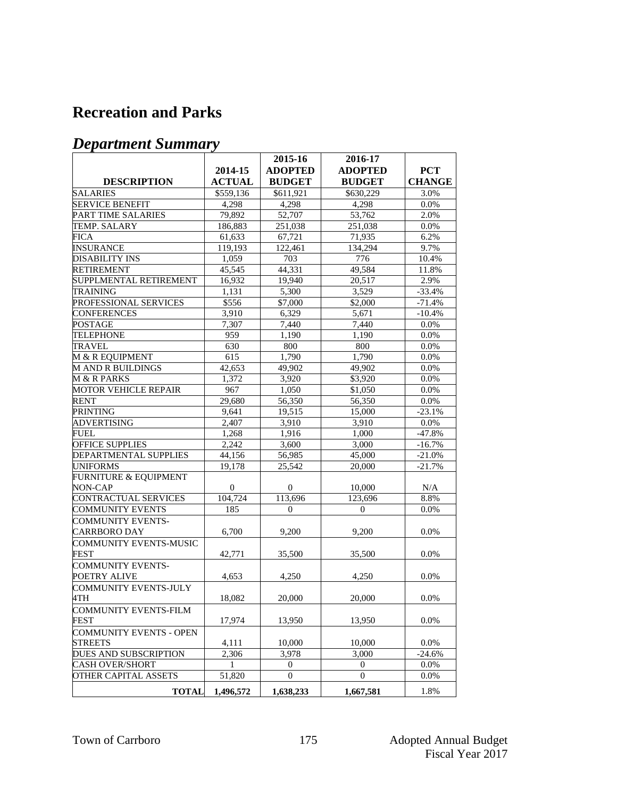#### **Recreation and Parks**

|                                  |               | 2015-16        | 2016-17        |               |
|----------------------------------|---------------|----------------|----------------|---------------|
|                                  | 2014-15       | <b>ADOPTED</b> | <b>ADOPTED</b> | <b>PCT</b>    |
| <b>DESCRIPTION</b>               | <b>ACTUAL</b> | <b>BUDGET</b>  | <b>BUDGET</b>  | <b>CHANGE</b> |
| <b>SALARIES</b>                  | \$559,136     | \$611,921      | \$630,229      | 3.0%          |
| <b>SERVICE BENEFIT</b>           | 4,298         | 4,298          | 4,298          | 0.0%          |
| PART TIME SALARIES               | 79,892        | 52,707         | 53,762         | 2.0%          |
| TEMP. SALARY                     | 186.883       | 251,038        | 251,038        | 0.0%          |
| FICA                             | 61,633        | 67,721         | 71,935         | 6.2%          |
| <b>INSURANCE</b>                 | 119,193       | 122,461        | 134,294        | 9.7%          |
| <b>DISABILITY INS</b>            | 1,059         | 703            | 776            | 10.4%         |
| <b>RETIREMENT</b>                | 45.545        | 44,331         | 49,584         | 11.8%         |
| SUPPLMENTAL RETIREMENT           | 16,932        | 19,940         | 20,517         | 2.9%          |
| <b>TRAINING</b>                  | 1,131         | 5,300          | 3,529          | $-33.4%$      |
| PROFESSIONAL SERVICES            | \$556         | \$7,000        | \$2,000        | $-71.4%$      |
| <b>CONFERENCES</b>               | 3,910         | 6,329          | 5,671          | $-10.4%$      |
| <b>POSTAGE</b>                   | 7,307         | 7,440          | 7,440          | 0.0%          |
| <b>TELEPHONE</b>                 | 959           | 1,190          | 1,190          | 0.0%          |
| <b>TRAVEL</b>                    | 630           | 800            | 800            | 0.0%          |
| M & R EQUIPMENT                  | 615           | 1,790          | 1,790          | 0.0%          |
| <b>MANDRBUILDINGS</b>            | 42.653        | 49,902         | 49,902         | 0.0%          |
| M & R PARKS                      | 1,372         | 3,920          | \$3,920        | 0.0%          |
| <b>MOTOR VEHICLE REPAIR</b>      | 967           | 1,050          | \$1,050        | 0.0%          |
| RENT                             | 29,680        | 56,350         | 56,350         | 0.0%          |
| <b>PRINTING</b>                  | 9,641         | 19,515         | 15,000         | $-23.1%$      |
| <b>ADVERTISING</b>               | 2,407         | 3,910          | 3,910          | 0.0%          |
| FUEL                             | 1,268         | 1,916          | 1.000          | $-47.8%$      |
| <b>OFFICE SUPPLIES</b>           | 2,242         | 3,600          | 3,000          | $-16.7%$      |
| DEPARTMENTAL SUPPLIES            | 44,156        | 56,985         | 45,000         | $-21.0%$      |
| <b>UNIFORMS</b>                  | 19,178        | 25,542         | 20,000         | $-21.7%$      |
| <b>FURNITURE &amp; EQUIPMENT</b> |               |                |                |               |
| NON-CAP                          | $\mathbf{0}$  | $\overline{0}$ | 10,000         | N/A           |
| CONTRACTUAL SERVICES             | 104,724       | 113,696        | 123,696        | 8.8%          |
| <b>COMMUNITY EVENTS</b>          | 185           | $\mathbf{0}$   | $\overline{0}$ | 0.0%          |
| <b>COMMUNITY EVENTS-</b>         |               |                |                |               |
| <b>CARRBORO DAY</b>              | 6,700         | 9,200          | 9,200          | 0.0%          |
| <b>COMMUNITY EVENTS-MUSIC</b>    |               |                |                |               |
| <b>FEST</b>                      | 42,771        | 35.500         | 35,500         | 0.0%          |
| <b>COMMUNITY EVENTS-</b>         |               |                |                |               |
| POETRY ALIVE                     | 4,653         | 4,250          | 4,250          | 0.0%          |
| COMMUNITY EVENTS-JULY            |               |                |                |               |
| 4TH                              | 18,082        | 20,000         | 20,000         | 0.0%          |
| <b>COMMUNITY EVENTS-FILM</b>     |               |                |                |               |
| <b>FEST</b>                      | 17,974        | 13,950         | 13,950         | 0.0%          |
| COMMUNITY EVENTS - OPEN          |               |                |                |               |
| <b>STREETS</b>                   | 4,111         | 10,000         | 10,000         | 0.0%          |
| <b>DUES AND SUBSCRIPTION</b>     | 2,306         | 3,978          | 3,000          | $-24.6%$      |
| <b>CASH OVER/SHORT</b>           | 1             | $\theta$       | 0              | 0.0%          |
| OTHER CAPITAL ASSETS             | 51,820        | $\mathbf{0}$   | $\theta$       | 0.0%          |
|                                  |               |                |                |               |
| <b>TOTAL</b>                     | 1,496,572     | 1,638,233      | 1,667,581      | 1.8%          |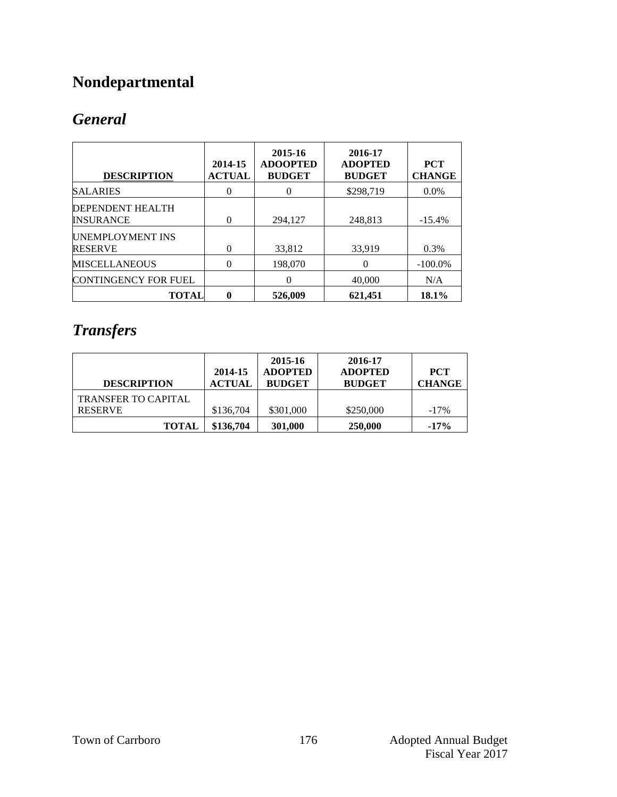## **Nondepartmental**

### *General*

| <b>DESCRIPTION</b>                          | 2014-15<br><b>ACTUAL</b> | 2015-16<br><b>ADOOPTED</b><br><b>BUDGET</b> | 2016-17<br><b>ADOPTED</b><br><b>BUDGET</b> | <b>PCT</b><br><b>CHANGE</b> |
|---------------------------------------------|--------------------------|---------------------------------------------|--------------------------------------------|-----------------------------|
| <b>SALARIES</b>                             | 0                        | 0                                           | \$298,719                                  | $0.0\%$                     |
| <b>DEPENDENT HEALTH</b><br><b>INSURANCE</b> | $\overline{0}$           | 294.127                                     | 248.813                                    | $-15.4%$                    |
| UNEMPLOYMENT INS<br><b>RESERVE</b>          | 0                        | 33,812                                      | 33,919                                     | 0.3%                        |
| <b>MISCELLANEOUS</b>                        | 0                        | 198,070                                     | 0                                          | $-100.0\%$                  |
| <b>CONTINGENCY FOR FUEL</b>                 |                          | 0                                           | 40,000                                     | N/A                         |
| TOTAL                                       | 0                        | 526,009                                     | 621,451                                    | 18.1%                       |

### *Transfers*

| <b>DESCRIPTION</b>         | 2014-15<br><b>ACTUAL</b> | 2015-16<br><b>ADOPTED</b><br><b>BUDGET</b> | 2016-17<br><b>ADOPTED</b><br><b>BUDGET</b> | <b>PCT</b><br><b>CHANGE</b> |
|----------------------------|--------------------------|--------------------------------------------|--------------------------------------------|-----------------------------|
| <b>TRANSFER TO CAPITAL</b> |                          |                                            |                                            |                             |
| <b>RESERVE</b>             | \$136,704                | \$301,000                                  | \$250,000                                  | $-17\%$                     |
| <b>TOTAL</b>               | \$136,704                | 301,000                                    | 250,000                                    | $-17%$                      |